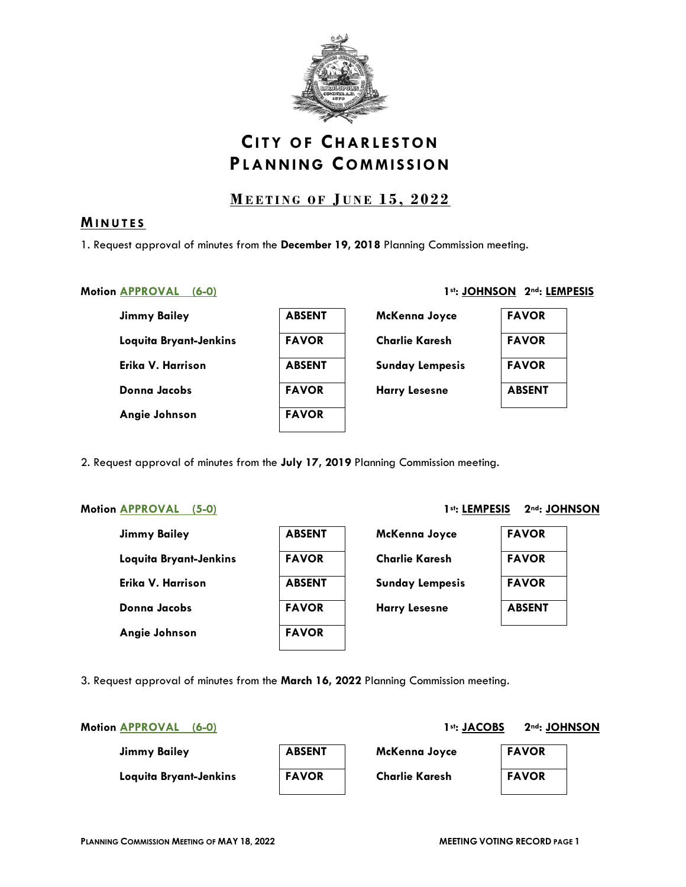

# **CITY OF CHARLESTON PLANNING COMMISSION**

# **M EETING OF J UNE 1 5 , 2022**

# **MINUTES**

1. Request approval of minutes from the **December 19, 2018** Planning Commission meeting.

# Motion **APPROVAL** (6-0) **1st: JOHNSON 2nd: LEMPESIS**

| Jimmy Bailey           | <b>ABSENT</b> | McKenna Joyce          | <b>FAVOR</b>  |
|------------------------|---------------|------------------------|---------------|
| Loquita Bryant-Jenkins | <b>FAVOR</b>  | <b>Charlie Karesh</b>  | <b>FAVOR</b>  |
| Erika V. Harrison      | <b>ABSENT</b> | <b>Sunday Lempesis</b> | <b>FAVOR</b>  |
| Donna Jacobs           | <b>FAVOR</b>  | <b>Harry Lesesne</b>   | <b>ABSENT</b> |
| Angie Johnson          | <b>FAVOR</b>  |                        |               |
|                        |               |                        |               |

2. Request approval of minutes from the **July 17, 2019** Planning Commission meeting.

# Motion **APPROVAL** (5-0) 1st: LEMPESIS 2<sup>nd</sup>: JOHNSON

| <b>Jimmy Bailey</b>    | <b>ABSENT</b> | McKenna Joyce          | <b>FAVOR</b>  |
|------------------------|---------------|------------------------|---------------|
| Loquita Bryant-Jenkins | <b>FAVOR</b>  | <b>Charlie Karesh</b>  | <b>FAVOR</b>  |
| Erika V. Harrison      | <b>ABSENT</b> | <b>Sunday Lempesis</b> | <b>FAVOR</b>  |
| Donna Jacobs           | <b>FAVOR</b>  | <b>Harry Lesesne</b>   | <b>ABSENT</b> |
| Angie Johnson          | <b>FAVOR</b>  |                        |               |

| <b>ABSENT</b> |
|---------------|
| <b>FAVOR</b>  |
| <b>ABSENT</b> |
| <b>FAVOR</b>  |
| <b>FAVOR</b>  |

| McKenna Joyce          |
|------------------------|
| <b>Charlie Karesh</b>  |
| <b>Sunday Lempesis</b> |
| <b>Harry Lesesne</b>   |

| <b>FAVOR</b>  |
|---------------|
| <b>FAVOR</b>  |
| <b>FAVOR</b>  |
| <b>ABSENT</b> |

3. Request approval of minutes from the **March 16, 2022** Planning Commission meeting.

Motion **APPROVAL** (6-0) 2nd: JACOBS 2nd: JOHNSON

| <b>Jimmy Bailey</b>    | <b>ABSENT</b> | McKenna Joyce         | <b>FAVOR</b> |
|------------------------|---------------|-----------------------|--------------|
| Loquita Bryant-Jenkins | <b>FAVOR</b>  | <b>Charlie Karesh</b> | <b>FAVOR</b> |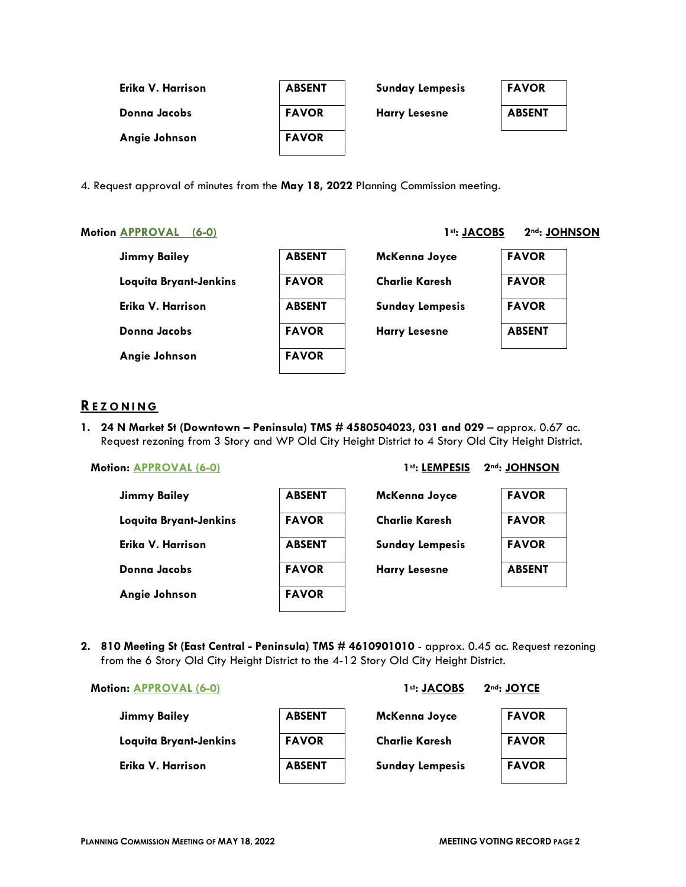| Erika V. Harrison | <b>ABSENT</b> | <b>Sunday Lempesis</b> | <b>FAVOR</b>  |
|-------------------|---------------|------------------------|---------------|
| Donna Jacobs      | <b>FAVOR</b>  | <b>Harry Lesesne</b>   | <b>ABSENT</b> |
| Angie Johnson     | <b>FAVOR</b>  |                        |               |

4. Request approval of minutes from the **May 18, 2022** Planning Commission meeting.

### Motion **APPROVAL** (6-0) 1st: JACOBS 2<sup>nd</sup>: JOHNSON

| <b>Jimmy Bailey</b>    | <b>ABSENT</b> | McKenna Joyce          | <b>FAVOR</b>  |
|------------------------|---------------|------------------------|---------------|
| Loquita Bryant-Jenkins | <b>FAVOR</b>  | <b>Charlie Karesh</b>  | <b>FAVOR</b>  |
| Erika V. Harrison      | <b>ABSENT</b> | <b>Sunday Lempesis</b> | <b>FAVOR</b>  |
| Donna Jacobs           | <b>FAVOR</b>  | <b>Harry Lesesne</b>   | <b>ABSENT</b> |
| Angie Johnson          | <b>FAVOR</b>  |                        |               |
|                        |               |                        |               |

# **REZONING**

1. 24 N Market St (Downtown - Peninsula) TMS # 4580504023, 031 and 029 - approx. 0.67 ac. Request rezoning from 3 Story and WP Old City Height District to 4 Story Old City Height District.

# Motion: <u>APPROVAL (6-0)</u> 2nd: 1st: LEMPESIS 2nd: JOHNSON

| <b>Jimmy Bailey</b>    | <b>ABSENT</b> | McKenna Joyce          | <b>FAVOR</b>  |
|------------------------|---------------|------------------------|---------------|
| Loquita Bryant-Jenkins | <b>FAVOR</b>  | <b>Charlie Karesh</b>  | <b>FAVOR</b>  |
| Erika V. Harrison      | <b>ABSENT</b> | <b>Sunday Lempesis</b> | <b>FAVOR</b>  |
| Donna Jacobs           | <b>FAVOR</b>  | <b>Harry Lesesne</b>   | <b>ABSENT</b> |
| Angie Johnson          | <b>FAVOR</b>  |                        |               |
|                        |               |                        |               |

**2. 810 Meeting St (East Central - Peninsula) TMS # 4610901010** - approx. 0.45 ac. Request rezoning from the 6 Story Old City Height District to the 4-12 Story Old City Height District.

### **Motion: APPROVAL (6-0)** 2nd: JOYCE 1st: JACOBS 2nd: JOYCE

| <b>Jimmy Bailey</b>    | <b>ABSENT</b> | McKenna Joyce          | <b>FAVOR</b> |
|------------------------|---------------|------------------------|--------------|
| Loquita Bryant-Jenkins | <b>FAVOR</b>  | <b>Charlie Karesh</b>  | <b>FAVOR</b> |
| Erika V. Harrison      | <b>ABSENT</b> | <b>Sunday Lempesis</b> | <b>FAVOR</b> |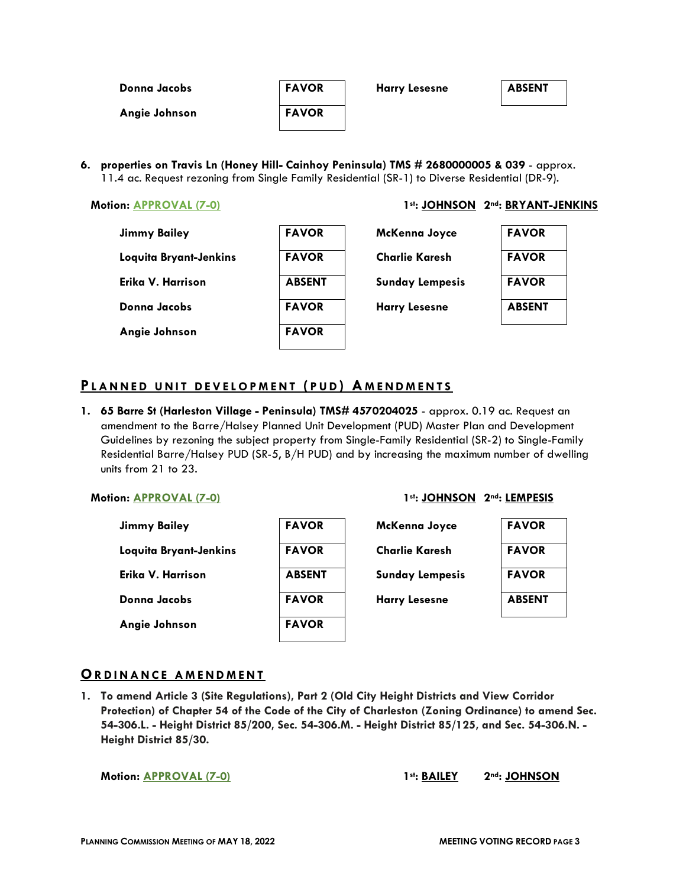| Donna Jacobs  | <b>FAVOR</b> | <b>Harry Lesesne</b> | <b>ABSENT</b> |
|---------------|--------------|----------------------|---------------|
| Angie Johnson | <b>FAVOR</b> |                      |               |

**6. properties on Travis Ln (Honey Hill- Cainhoy Peninsula) TMS # 2680000005 & 039** - approx. 11.4 ac. Request rezoning from Single Family Residential (SR-1) to Diverse Residential (DR-9).

### **Motion: APPROVAL (7-0)** 1st: JOHNSON 2nd: BRYANT-JENKINS

| <b>Jimmy Bailey</b>    | <b>FAVOR</b>  | McKenna Joyce          | <b>FAVOR</b>  |
|------------------------|---------------|------------------------|---------------|
| Loquita Bryant-Jenkins | <b>FAVOR</b>  | <b>Charlie Karesh</b>  | <b>FAVOR</b>  |
| Erika V. Harrison      | <b>ABSENT</b> | <b>Sunday Lempesis</b> | <b>FAVOR</b>  |
| Donna Jacobs           | <b>FAVOR</b>  | <b>Harry Lesesne</b>   | <b>ABSENT</b> |
| Angie Johnson          | <b>FAVOR</b>  |                        |               |

# **P L ANNED UNIT DEVELOPME NT ( PUD ) A M ENDMENTS**

**1. 65 Barre St (Harleston Village - Peninsula) TMS# 4570204025** - approx. 0.19 ac. Request an amendment to the Barre/Halsey Planned Unit Development (PUD) Master Plan and Development Guidelines by rezoning the subject property from Single-Family Residential (SR-2) to Single-Family Residential Barre/Halsey PUD (SR-5, B/H PUD) and by increasing the maximum number of dwelling units from 21 to 23.

| Jimmy Bailey           | <b>FAVOR</b>  |
|------------------------|---------------|
| Loquita Bryant-Jenkins | <b>FAVOR</b>  |
| Erika V. Harrison      | <b>ABSEN1</b> |
| Donna Jacobs           | <b>FAVOR</b>  |
| Angie Johnson          | <b>FAVOR</b>  |

# **Motion: APPROVAL (7-0)** 2nd: LEMPESIS



# **ORDINANCE AMENDMENT**

**1. To amend Article 3 (Site Regulations), Part 2 (Old City Height Districts and View Corridor Protection) of Chapter 54 of the Code of the City of Charleston (Zoning Ordinance) to amend Sec. 54-306.L. - Height District 85/200, Sec. 54-306.M. - Height District 85/125, and Sec. 54-306.N. - Height District 85/30.**

**Motion: <u>APPROVAL (7-0)</u> 1st: BAILEY 2nd: JOHNSON**